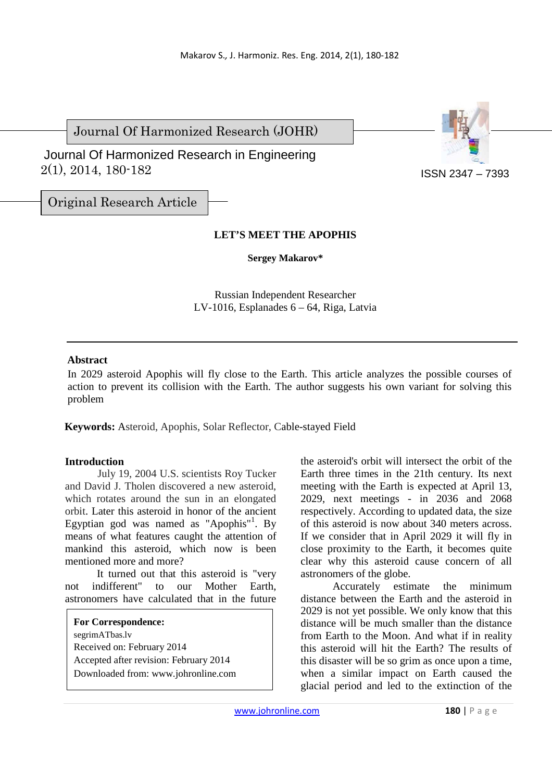Journal Of Harmonized Research (JOHR)

 2(1), 2014, 180-182 Journal Of Harmonized Research in Engineering



ISSN 2347 – 7393

Original Research Article

# **LET'S MEET THE APOPHIS**

**Sergey Makarov\*** 

Russian Independent Researcher LV-1016, Esplanades 6 – 64, Riga, Latvia

## **Abstract**

In 2029 asteroid Apophis will fly close to the Earth. This article analyzes the possible courses of action to prevent its collision with the Earth. The author suggests his own variant for solving this problem

**Keywords:** Asteroid, Apophis, Solar Reflector, Cable-stayed Field

### **Introduction**

July 19, 2004 U.S. scientists Roy Tucker and David J. Tholen discovered a new asteroid, which rotates around the sun in an elongated orbit. Later this asteroid in honor of the ancient Egyptian god was named as "Apophis"<sup>1</sup>. By means of what features caught the attention of mankind this asteroid, which now is been mentioned more and more?

It turned out that this asteroid is "very not indifferent" to our Mother Earth, astronomers have calculated that in the future

# **For Correspondence:**

segrimATbas.lv Received on: February 2014 Accepted after revision: February 2014 Downloaded from: www.johronline.com the asteroid's orbit will intersect the orbit of the Earth three times in the 21th century. Its next meeting with the Earth is expected at April 13, 2029, next meetings - in 2036 and 2068 respectively. According to updated data, the size of this asteroid is now about 340 meters across. If we consider that in April 2029 it will fly in close proximity to the Earth, it becomes quite clear why this asteroid cause concern of all astronomers of the globe.

Accurately estimate the minimum distance between the Earth and the asteroid in 2029 is not yet possible. We only know that this distance will be much smaller than the distance from Earth to the Moon. And what if in reality this asteroid will hit the Earth? The results of this disaster will be so grim as once upon a time, when a similar impact on Earth caused the glacial period and led to the extinction of the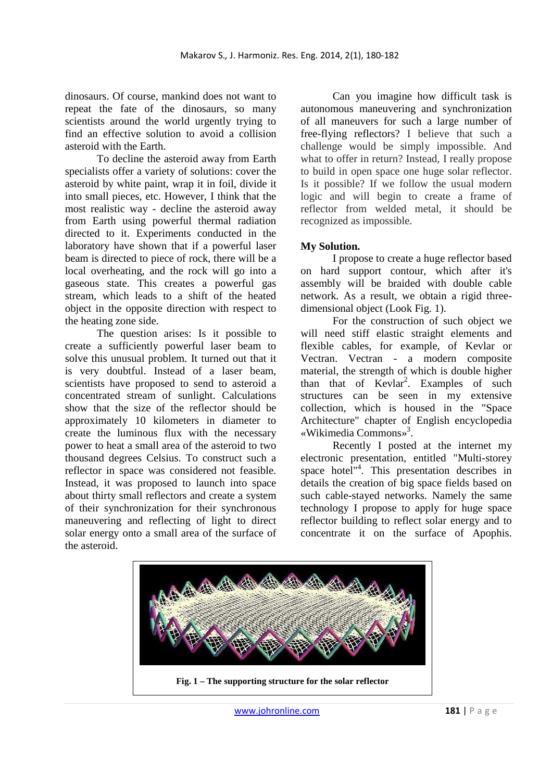dinosaurs. Of course, mankind does not want to repeat the fate of the dinosaurs, so many scientists around the world urgently trying to find an effective solution to avoid a collision asteroid with the Earth.

To decline the asteroid away from Earth specialists offer a variety of solutions: cover the asteroid by white paint, wrap it in foil, divide it into small pieces, etc. However, I think that the most realistic way - decline the asteroid away from Earth using powerful thermal radiation directed to it. Experiments conducted in the laboratory have shown that if a powerful laser beam is directed to piece of rock, there will be a local overheating, and the rock will go into a gaseous state. This creates a powerful gas stream, which leads to a shift of the heated object in the opposite direction with respect to the heating zone side.

The question arises: Is it possible to create a sufficiently powerful laser beam to solve this unusual problem. It turned out that it is very doubtful. Instead of a laser beam, scientists have proposed to send to asteroid a concentrated stream of sunlight. Calculations show that the size of the reflector should be approximately 10 kilometers in diameter to create the luminous flux with the necessary power to heat a small area of the asteroid to two thousand degrees Celsius. To construct such a reflector in space was considered not feasible. Instead, it was proposed to launch into space about thirty small reflectors and create a system of their synchronization for their synchronous maneuvering and reflecting of light to direct solar energy onto a small area of the surface of the asteroid.

Can you imagine how difficult task is autonomous maneuvering and synchronization of all maneuvers for such a large number of free-flying reflectors? I believe that such a challenge would be simply impossible. And what to offer in return? Instead, I really propose to build in open space one huge solar reflector. Is it possible? If we follow the usual modern logic and will begin to create a frame of reflector from welded metal, it should be recognized as impossible.

## **My Solution.**

I propose to create a huge reflector based on hard support contour, which after it's assembly will be braided with double cable network. As a result, we obtain a rigid threedimensional object (Look Fig. 1).

For the construction of such object we will need stiff elastic straight elements and flexible cables, for example, of Kevlar or Vectran. Vectran - a modern composite material, the strength of which is double higher than that of Kevlar<sup>2</sup>. Examples of such structures can be seen in my extensive collection, which is housed in the "Space Architecture" chapter of English encyclopedia «Wikimedia Commons»<sup>3</sup> .

Recently I posted at the internet my electronic presentation, entitled "Multi-storey space hotel<sup>"4</sup>. This presentation describes in details the creation of big space fields based on such cable-stayed networks. Namely the same technology I propose to apply for huge space reflector building to reflect solar energy and to concentrate it on the surface of Apophis.



www.johronline.com **181** | P a g e